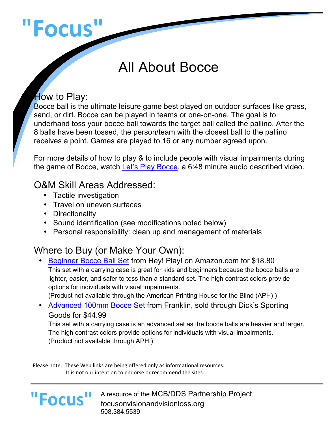# **"Focus"**

## All About Bocce

#### How to Play:

Bocce ball is the ultimate leisure game best played on outdoor surfaces like grass, sand, or dirt. Bocce can be played in teams or one-on-one. The goal is to underhand toss your bocce ball towards the target ball called the pallino. After the 8 balls have been tossed, the person/team with the closest ball to the pallino receives a point. Games are played to 16 or any number agreed upon.

For more details of how to play & to include people with visual impairments during the game of Bocce, watch Let's Play Bocce, a 6:48 minute audio described video.

#### O&M Skill Areas Addressed:

- Tactile investigation
- Travel on uneven surfaces
- Directionality

**"Focus"**

- Sound identification (see modifications noted below)
- Personal responsibility: clean up and management of materials

### Where to Buy (or Make Your Own):

• Beginner Bocce Ball Set from Hey! Play! on Amazon.com for \$18.80 This set with a carrying case is great for kids and beginners because the bocce balls are lighter, easier, and safer to toss than a standard set. The high contrast colors provide options for individuals with visual impairments. (Product not available through the American Printing House for the Blind (APH) )

• Advanced 100mm Bocce Set from Franklin, sold through Dick's Sporting Goods for \$44.99

This set with a carrying case is an advanced set as the bocce balls are heavier and larger. The high contrast colors provide options for individuals with visual impairments. (Product not available through APH.)

Please note: These Web links are being offered only as informational resources. It is not our intention to endorse or recommend the sites.

#### A resource of the MCB/DDS Partnership Project focusonvisionandvisionloss.org 508.384.5539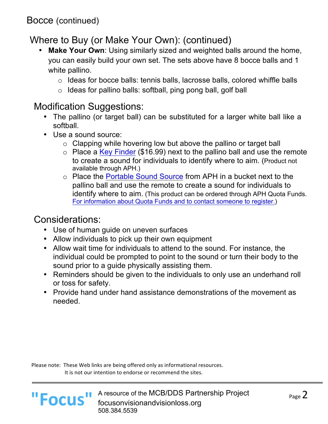#### Where to Buy (or Make Your Own): (continued)

- **Make Your Own**: Using similarly sized and weighted balls around the home, you can easily build your own set. The sets above have 8 bocce balls and 1 white pallino.
	- o Ideas for bocce balls: tennis balls, lacrosse balls, colored whiffle balls
	- $\circ$  Ideas for pallino balls: softball, ping pong ball, golf ball

#### Modification Suggestions:

- The pallino (or target ball) can be substituted for a larger white ball like a softball.
- Use a sound source:
	- o Clapping while hovering low but above the pallino or target ball
	- $\circ$  Place a Key Finder (\$16.99) next to the pallino ball and use the remote to create a sound for individuals to identify where to aim. (Product not available through APH.)
	- o Place the Portable Sound Source from APH in a bucket next to the pallino ball and use the remote to create a sound for individuals to identify where to aim. (This product can be ordered through APH Quota Funds. For information about Quota Funds and to contact someone to register.)

#### Considerations:

- Use of human guide on uneven surfaces
- Allow individuals to pick up their own equipment
- Allow wait time for individuals to attend to the sound. For instance, the individual could be prompted to point to the sound or turn their body to the sound prior to a guide physically assisting them.
- Reminders should be given to the individuals to only use an underhand roll or toss for safety.
- Provide hand under hand assistance demonstrations of the movement as needed.

Please note: These Web links are being offered only as informational resources. It is not our intention to endorse or recommend the sites.



L